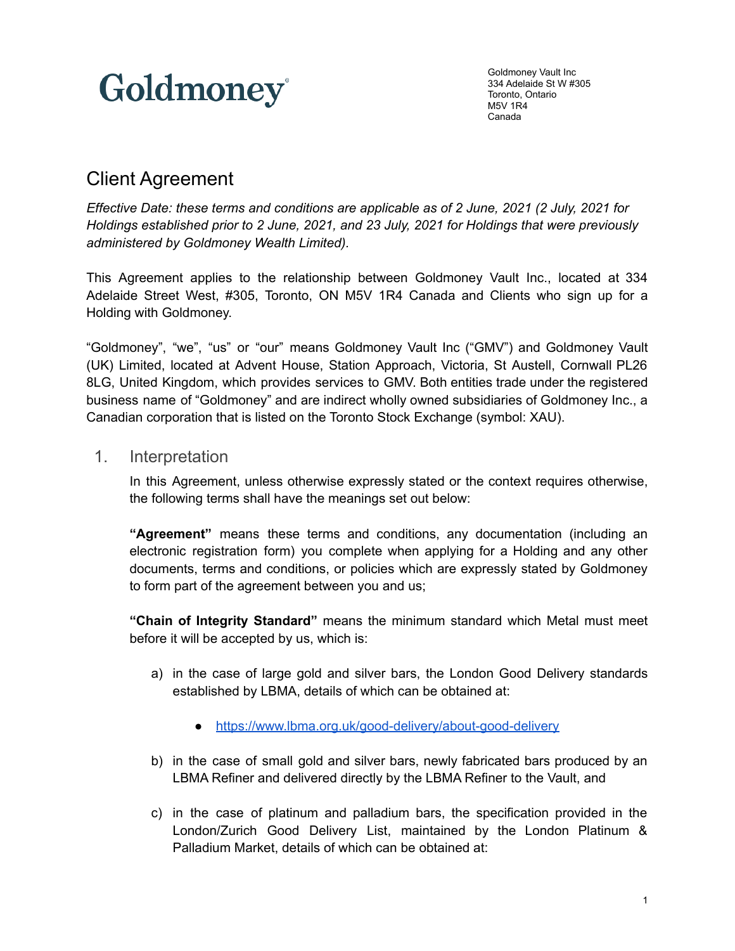

Goldmoney Vault Inc 334 Adelaide St W #305 Toronto, Ontario M5V 1R4 Canada

# Client Agreement

*Effective Date: these terms and conditions are applicable as of 2 June, 2021 (2 July, 2021 for Holdings established prior to 2 June, 2021, and 23 July, 2021 for Holdings that were previously administered by Goldmoney Wealth Limited).*

This Agreement applies to the relationship between Goldmoney Vault Inc., located at 334 Adelaide Street West, #305, Toronto, ON M5V 1R4 Canada and Clients who sign up for a Holding with Goldmoney.

"Goldmoney", "we", "us" or "our" means Goldmoney Vault Inc ("GMV") and Goldmoney Vault (UK) Limited, located at Advent House, Station Approach, Victoria, St Austell, Cornwall PL26 8LG, United Kingdom, which provides services to GMV. Both entities trade under the registered business name of "Goldmoney" and are indirect wholly owned subsidiaries of Goldmoney Inc., a Canadian corporation that is listed on the Toronto Stock Exchange (symbol: XAU).

## 1. Interpretation

In this Agreement, unless otherwise expressly stated or the context requires otherwise, the following terms shall have the meanings set out below:

**"Agreement"** means these terms and conditions, any documentation (including an electronic registration form) you complete when applying for a Holding and any other documents, terms and conditions, or policies which are expressly stated by Goldmoney to form part of the agreement between you and us;

**"Chain of Integrity Standard"** means the minimum standard which Metal must meet before it will be accepted by us, which is:

- a) in the case of large gold and silver bars, the London Good Delivery standards established by LBMA, details of which can be obtained at:
	- <https://www.lbma.org.uk/good-delivery/about-good-delivery>
- b) in the case of small gold and silver bars, newly fabricated bars produced by an LBMA Refiner and delivered directly by the LBMA Refiner to the Vault, and
- c) in the case of platinum and palladium bars, the specification provided in the London/Zurich Good Delivery List, maintained by the London Platinum & Palladium Market, details of which can be obtained at: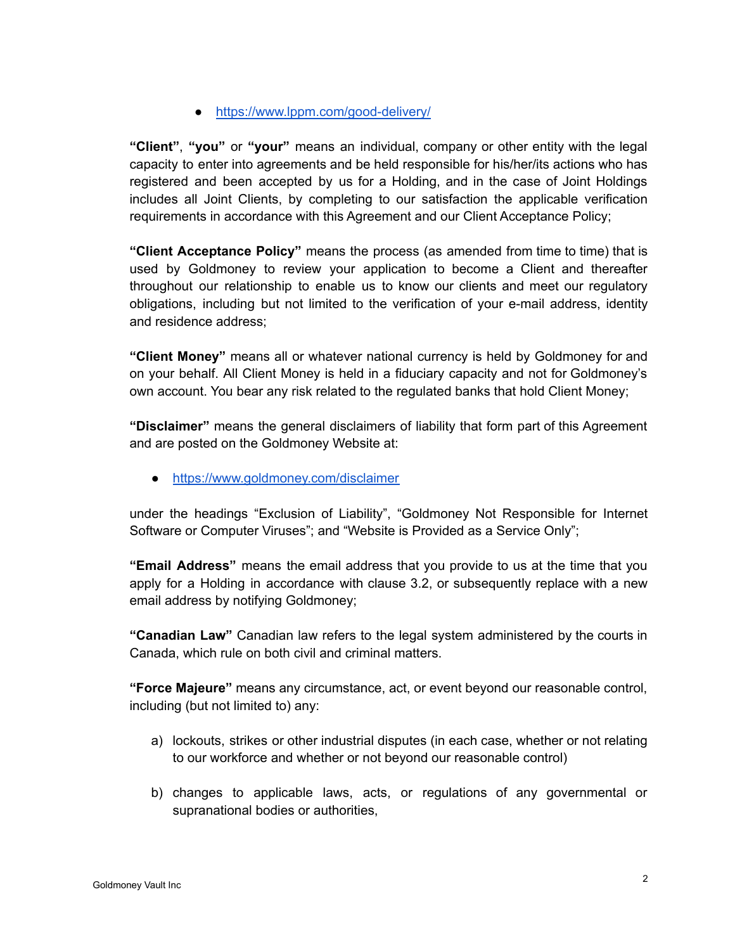● <https://www.lppm.com/good-delivery/>

**"Client"**, **"you"** or **"your"** means an individual, company or other entity with the legal capacity to enter into agreements and be held responsible for his/her/its actions who has registered and been accepted by us for a Holding, and in the case of Joint Holdings includes all Joint Clients, by completing to our satisfaction the applicable verification requirements in accordance with this Agreement and our Client Acceptance Policy;

**"Client Acceptance Policy"** means the process (as amended from time to time) that is used by Goldmoney to review your application to become a Client and thereafter throughout our relationship to enable us to know our clients and meet our regulatory obligations, including but not limited to the verification of your e-mail address, identity and residence address;

**"Client Money"** means all or whatever national currency is held by Goldmoney for and on your behalf. All Client Money is held in a fiduciary capacity and not for Goldmoney's own account. You bear any risk related to the regulated banks that hold Client Money;

**"Disclaimer"** means the general disclaimers of liability that form part of this Agreement and are posted on the Goldmoney Website at:

<https://www.goldmoney.com/disclaimer>

under the headings "Exclusion of Liability", "Goldmoney Not Responsible for Internet Software or Computer Viruses"; and "Website is Provided as a Service Only";

**"Email Address"** means the email address that you provide to us at the time that you apply for a Holding in accordance with clause 3.2, or subsequently replace with a new email address by notifying Goldmoney;

**"Canadian Law"** Canadian law refers to the legal system administered by the courts in Canada, which rule on both civil and criminal matters.

**"Force Majeure"** means any circumstance, act, or event beyond our reasonable control, including (but not limited to) any:

- a) lockouts, strikes or other industrial disputes (in each case, whether or not relating to our workforce and whether or not beyond our reasonable control)
- b) changes to applicable laws, acts, or regulations of any governmental or supranational bodies or authorities,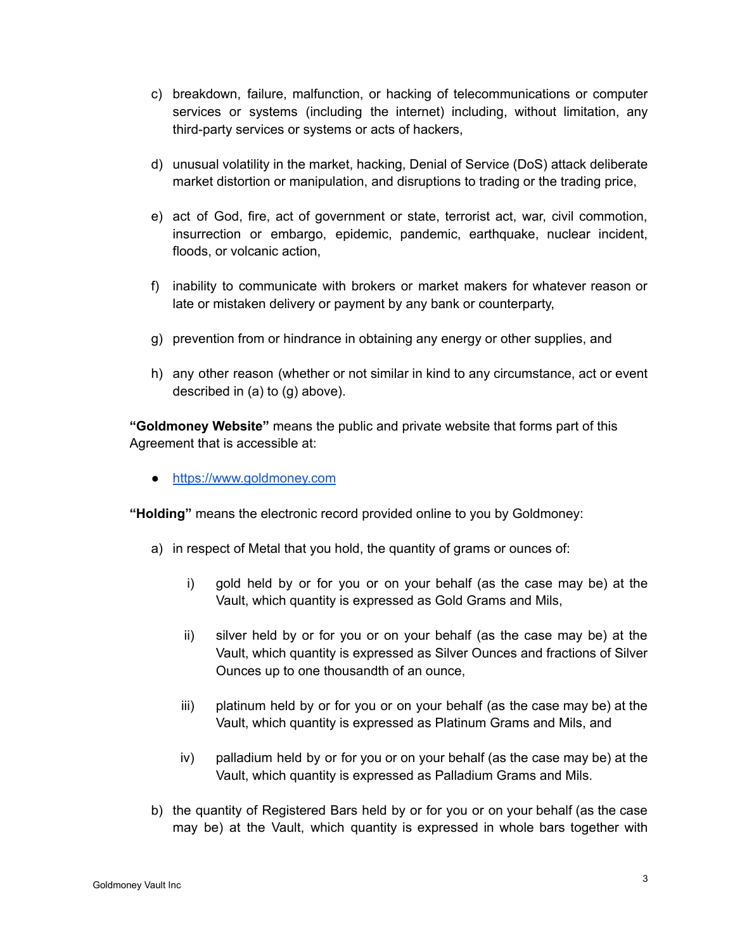- c) breakdown, failure, malfunction, or hacking of telecommunications or computer services or systems (including the internet) including, without limitation, any third-party services or systems or acts of hackers,
- d) unusual volatility in the market, hacking, Denial of Service (DoS) attack deliberate market distortion or manipulation, and disruptions to trading or the trading price,
- e) act of God, fire, act of government or state, terrorist act, war, civil commotion, insurrection or embargo, epidemic, pandemic, earthquake, nuclear incident, floods, or volcanic action,
- f) inability to communicate with brokers or market makers for whatever reason or late or mistaken delivery or payment by any bank or counterparty,
- g) prevention from or hindrance in obtaining any energy or other supplies, and
- h) any other reason (whether or not similar in kind to any circumstance, act or event described in (a) to (g) above).

**"Goldmoney Website"** means the public and private website that forms part of this Agreement that is accessible at:

<https://www.goldmoney.com>

**"Holding"** means the electronic record provided online to you by Goldmoney:

- a) in respect of Metal that you hold, the quantity of grams or ounces of:
	- i) gold held by or for you or on your behalf (as the case may be) at the Vault, which quantity is expressed as Gold Grams and Mils,
	- ii) silver held by or for you or on your behalf (as the case may be) at the Vault, which quantity is expressed as Silver Ounces and fractions of Silver Ounces up to one thousandth of an ounce,
	- iii) platinum held by or for you or on your behalf (as the case may be) at the Vault, which quantity is expressed as Platinum Grams and Mils, and
	- iv) palladium held by or for you or on your behalf (as the case may be) at the Vault, which quantity is expressed as Palladium Grams and Mils.
- b) the quantity of Registered Bars held by or for you or on your behalf (as the case may be) at the Vault, which quantity is expressed in whole bars together with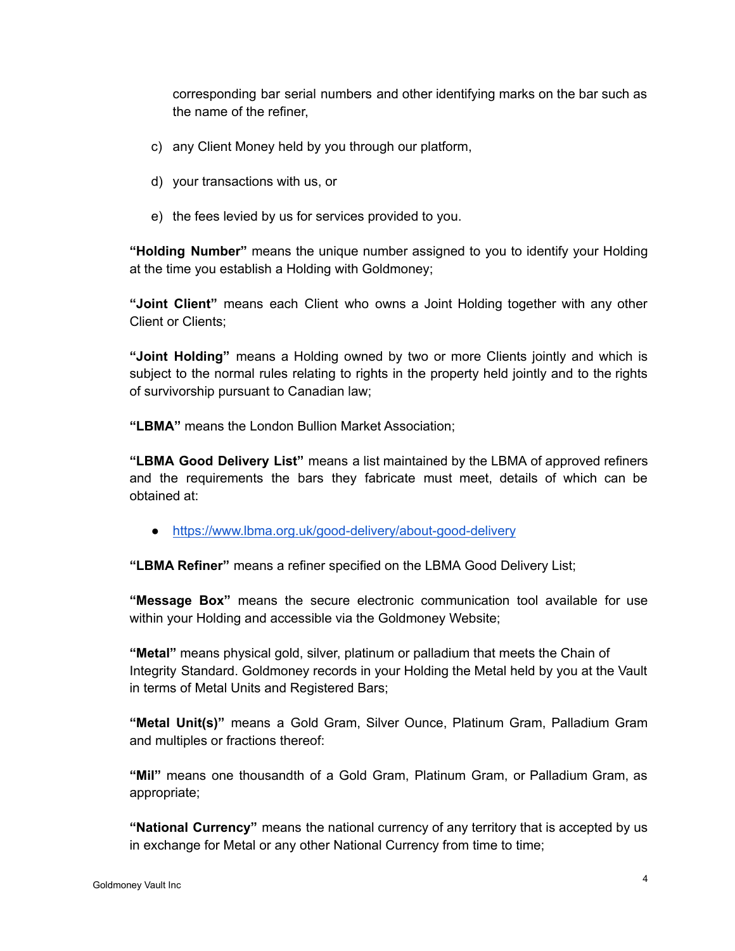corresponding bar serial numbers and other identifying marks on the bar such as the name of the refiner,

- c) any Client Money held by you through our platform,
- d) your transactions with us, or
- e) the fees levied by us for services provided to you.

**"Holding Number"** means the unique number assigned to you to identify your Holding at the time you establish a Holding with Goldmoney;

**"Joint Client"** means each Client who owns a Joint Holding together with any other Client or Clients;

**"Joint Holding"** means a Holding owned by two or more Clients jointly and which is subject to the normal rules relating to rights in the property held jointly and to the rights of survivorship pursuant to Canadian law;

**"LBMA"** means the London Bullion Market Association;

**"LBMA Good Delivery List"** means a list maintained by the LBMA of approved refiners and the requirements the bars they fabricate must meet, details of which can be obtained at:

● <https://www.lbma.org.uk/good-delivery/about-good-delivery>

**"LBMA Refiner"** means a refiner specified on the LBMA Good Delivery List;

**"Message Box"** means the secure electronic communication tool available for use within your Holding and accessible via the Goldmoney Website;

**"Metal"** means physical gold, silver, platinum or palladium that meets the Chain of Integrity Standard. Goldmoney records in your Holding the Metal held by you at the Vault in terms of Metal Units and Registered Bars;

**"Metal Unit(s)"** means a Gold Gram, Silver Ounce, Platinum Gram, Palladium Gram and multiples or fractions thereof:

**"Mil"** means one thousandth of a Gold Gram, Platinum Gram, or Palladium Gram, as appropriate;

**"National Currency"** means the national currency of any territory that is accepted by us in exchange for Metal or any other National Currency from time to time;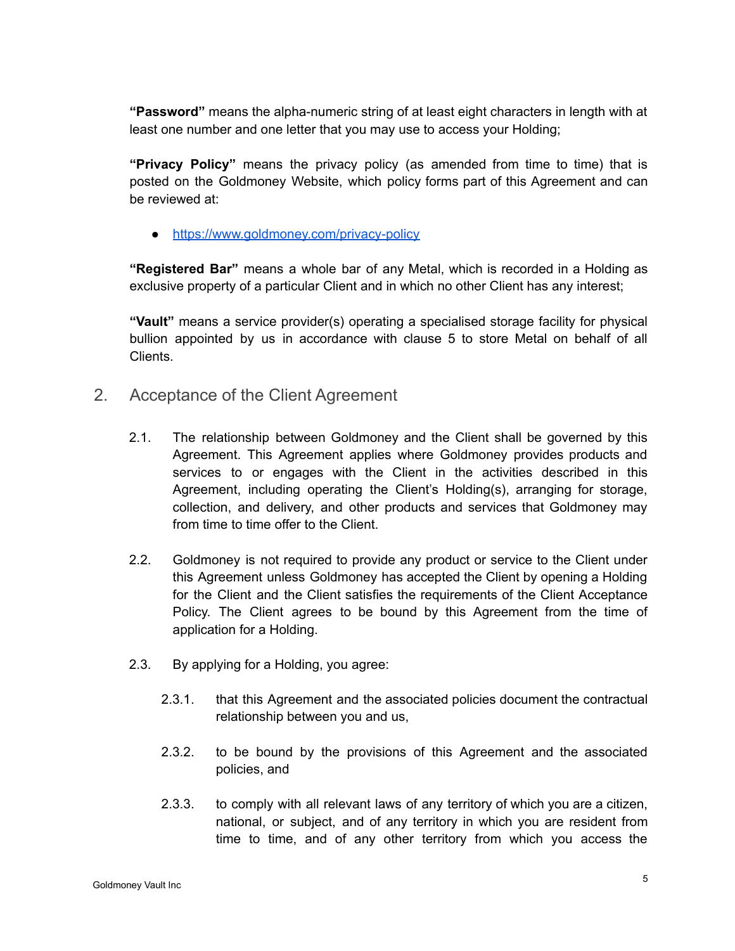**"Password"** means the alpha-numeric string of at least eight characters in length with at least one number and one letter that you may use to access your Holding;

**"Privacy Policy"** means the privacy policy (as amended from time to time) that is posted on the Goldmoney Website, which policy forms part of this Agreement and can be reviewed at:

● <https://www.goldmoney.com/privacy-policy>

**"Registered Bar"** means a whole bar of any Metal, which is recorded in a Holding as exclusive property of a particular Client and in which no other Client has any interest;

**"Vault"** means a service provider(s) operating a specialised storage facility for physical bullion appointed by us in accordance with clause 5 to store Metal on behalf of all Clients.

- 2. Acceptance of the Client Agreement
	- 2.1. The relationship between Goldmoney and the Client shall be governed by this Agreement. This Agreement applies where Goldmoney provides products and services to or engages with the Client in the activities described in this Agreement, including operating the Client's Holding(s), arranging for storage, collection, and delivery, and other products and services that Goldmoney may from time to time offer to the Client.
	- 2.2. Goldmoney is not required to provide any product or service to the Client under this Agreement unless Goldmoney has accepted the Client by opening a Holding for the Client and the Client satisfies the requirements of the Client Acceptance Policy. The Client agrees to be bound by this Agreement from the time of application for a Holding.
	- 2.3. By applying for a Holding, you agree:
		- 2.3.1. that this Agreement and the associated policies document the contractual relationship between you and us,
		- 2.3.2. to be bound by the provisions of this Agreement and the associated policies, and
		- 2.3.3. to comply with all relevant laws of any territory of which you are a citizen, national, or subject, and of any territory in which you are resident from time to time, and of any other territory from which you access the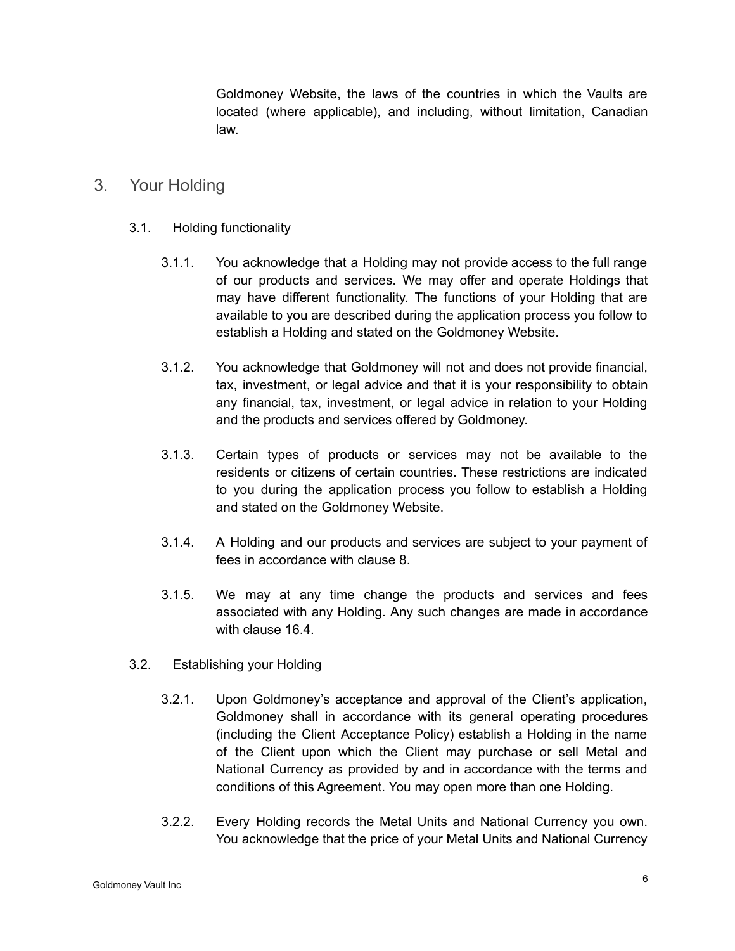Goldmoney Website, the laws of the countries in which the Vaults are located (where applicable), and including, without limitation, Canadian law.

# 3. Your Holding

- 3.1. Holding functionality
	- 3.1.1. You acknowledge that a Holding may not provide access to the full range of our products and services. We may offer and operate Holdings that may have different functionality. The functions of your Holding that are available to you are described during the application process you follow to establish a Holding and stated on the Goldmoney Website.
	- 3.1.2. You acknowledge that Goldmoney will not and does not provide financial, tax, investment, or legal advice and that it is your responsibility to obtain any financial, tax, investment, or legal advice in relation to your Holding and the products and services offered by Goldmoney.
	- 3.1.3. Certain types of products or services may not be available to the residents or citizens of certain countries. These restrictions are indicated to you during the application process you follow to establish a Holding and stated on the Goldmoney Website.
	- 3.1.4. A Holding and our products and services are subject to your payment of fees in accordance with clause 8.
	- 3.1.5. We may at any time change the products and services and fees associated with any Holding. Any such changes are made in accordance with clause 16.4.
- 3.2. Establishing your Holding
	- 3.2.1. Upon Goldmoney's acceptance and approval of the Client's application, Goldmoney shall in accordance with its general operating procedures (including the Client Acceptance Policy) establish a Holding in the name of the Client upon which the Client may purchase or sell Metal and National Currency as provided by and in accordance with the terms and conditions of this Agreement. You may open more than one Holding.
	- 3.2.2. Every Holding records the Metal Units and National Currency you own. You acknowledge that the price of your Metal Units and National Currency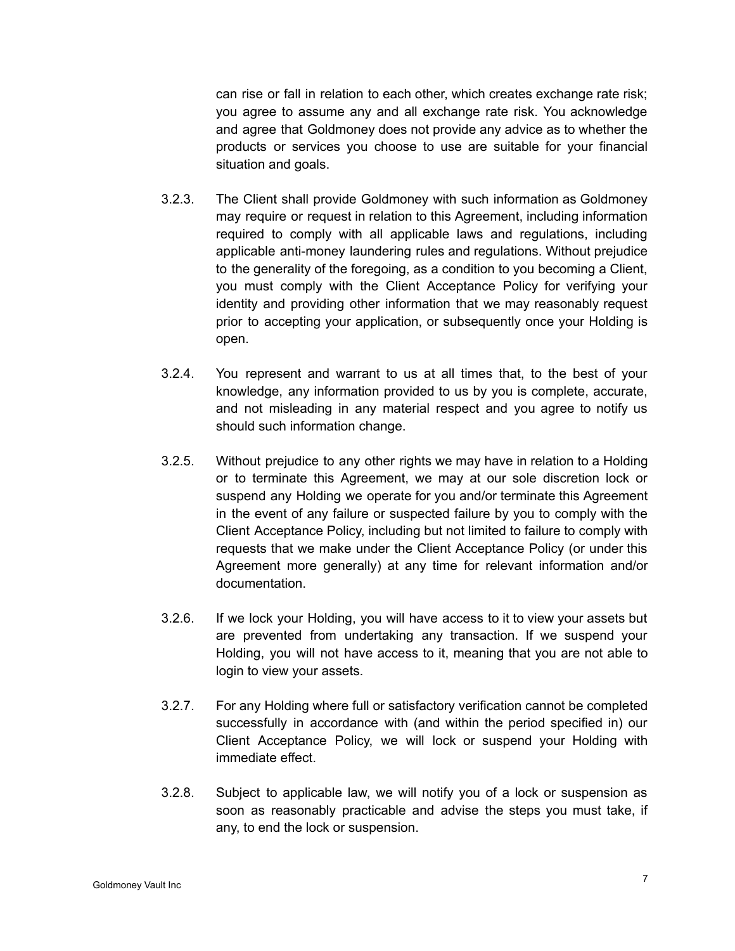can rise or fall in relation to each other, which creates exchange rate risk; you agree to assume any and all exchange rate risk. You acknowledge and agree that Goldmoney does not provide any advice as to whether the products or services you choose to use are suitable for your financial situation and goals.

- 3.2.3. The Client shall provide Goldmoney with such information as Goldmoney may require or request in relation to this Agreement, including information required to comply with all applicable laws and regulations, including applicable anti-money laundering rules and regulations. Without prejudice to the generality of the foregoing, as a condition to you becoming a Client, you must comply with the Client Acceptance Policy for verifying your identity and providing other information that we may reasonably request prior to accepting your application, or subsequently once your Holding is open.
- 3.2.4. You represent and warrant to us at all times that, to the best of your knowledge, any information provided to us by you is complete, accurate, and not misleading in any material respect and you agree to notify us should such information change.
- 3.2.5. Without prejudice to any other rights we may have in relation to a Holding or to terminate this Agreement, we may at our sole discretion lock or suspend any Holding we operate for you and/or terminate this Agreement in the event of any failure or suspected failure by you to comply with the Client Acceptance Policy, including but not limited to failure to comply with requests that we make under the Client Acceptance Policy (or under this Agreement more generally) at any time for relevant information and/or documentation.
- 3.2.6. If we lock your Holding, you will have access to it to view your assets but are prevented from undertaking any transaction. If we suspend your Holding, you will not have access to it, meaning that you are not able to login to view your assets.
- 3.2.7. For any Holding where full or satisfactory verification cannot be completed successfully in accordance with (and within the period specified in) our Client Acceptance Policy, we will lock or suspend your Holding with immediate effect.
- 3.2.8. Subject to applicable law, we will notify you of a lock or suspension as soon as reasonably practicable and advise the steps you must take, if any, to end the lock or suspension.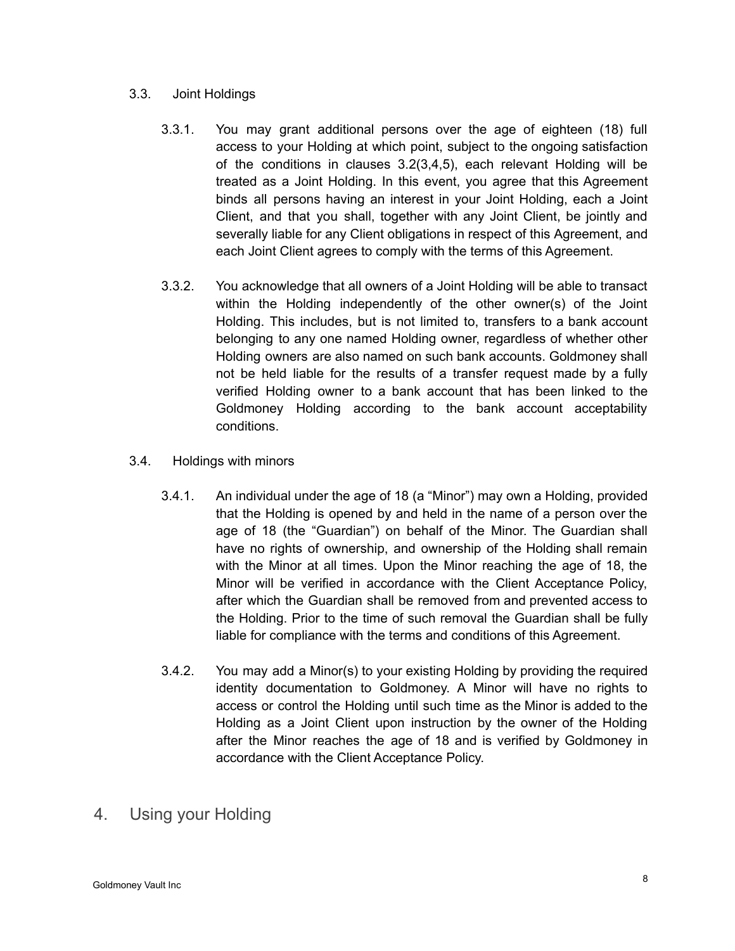#### 3.3. Joint Holdings

- 3.3.1. You may grant additional persons over the age of eighteen (18) full access to your Holding at which point, subject to the ongoing satisfaction of the conditions in clauses 3.2(3,4,5), each relevant Holding will be treated as a Joint Holding. In this event, you agree that this Agreement binds all persons having an interest in your Joint Holding, each a Joint Client, and that you shall, together with any Joint Client, be jointly and severally liable for any Client obligations in respect of this Agreement, and each Joint Client agrees to comply with the terms of this Agreement.
- 3.3.2. You acknowledge that all owners of a Joint Holding will be able to transact within the Holding independently of the other owner(s) of the Joint Holding. This includes, but is not limited to, transfers to a bank account belonging to any one named Holding owner, regardless of whether other Holding owners are also named on such bank accounts. Goldmoney shall not be held liable for the results of a transfer request made by a fully verified Holding owner to a bank account that has been linked to the Goldmoney Holding according to the bank account acceptability conditions.
- 3.4. Holdings with minors
	- 3.4.1. An individual under the age of 18 (a "Minor") may own a Holding, provided that the Holding is opened by and held in the name of a person over the age of 18 (the "Guardian") on behalf of the Minor. The Guardian shall have no rights of ownership, and ownership of the Holding shall remain with the Minor at all times. Upon the Minor reaching the age of 18, the Minor will be verified in accordance with the Client Acceptance Policy, after which the Guardian shall be removed from and prevented access to the Holding. Prior to the time of such removal the Guardian shall be fully liable for compliance with the terms and conditions of this Agreement.
	- 3.4.2. You may add a Minor(s) to your existing Holding by providing the required identity documentation to Goldmoney. A Minor will have no rights to access or control the Holding until such time as the Minor is added to the Holding as a Joint Client upon instruction by the owner of the Holding after the Minor reaches the age of 18 and is verified by Goldmoney in accordance with the Client Acceptance Policy.
- 4. Using your Holding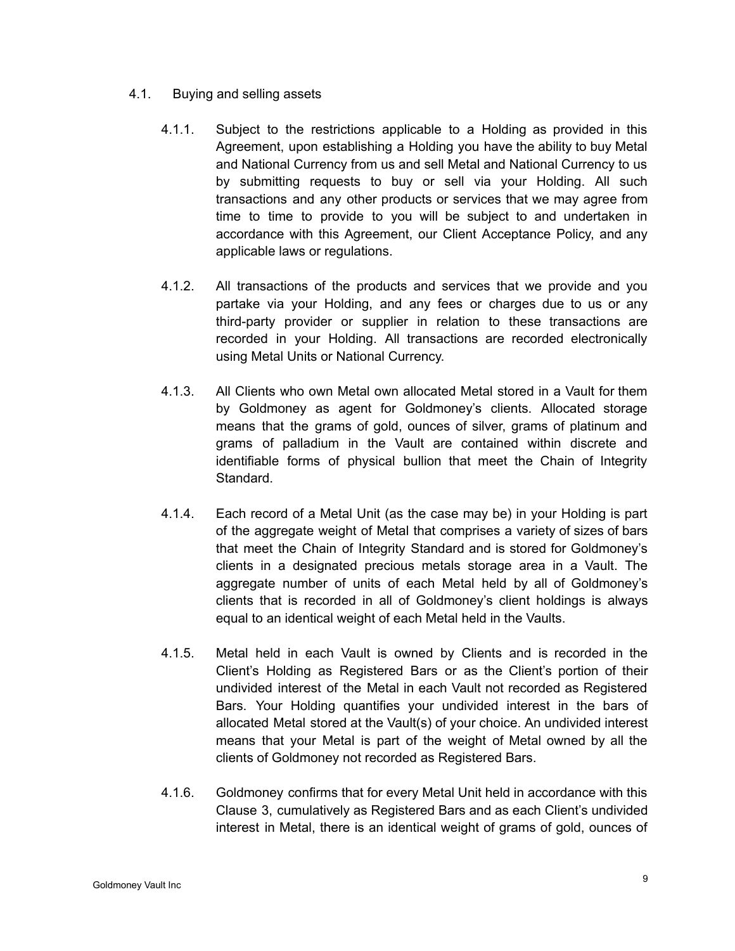- 4.1. Buying and selling assets
	- 4.1.1. Subject to the restrictions applicable to a Holding as provided in this Agreement, upon establishing a Holding you have the ability to buy Metal and National Currency from us and sell Metal and National Currency to us by submitting requests to buy or sell via your Holding. All such transactions and any other products or services that we may agree from time to time to provide to you will be subject to and undertaken in accordance with this Agreement, our Client Acceptance Policy, and any applicable laws or regulations.
	- 4.1.2. All transactions of the products and services that we provide and you partake via your Holding, and any fees or charges due to us or any third-party provider or supplier in relation to these transactions are recorded in your Holding. All transactions are recorded electronically using Metal Units or National Currency.
	- 4.1.3. All Clients who own Metal own allocated Metal stored in a Vault for them by Goldmoney as agent for Goldmoney's clients. Allocated storage means that the grams of gold, ounces of silver, grams of platinum and grams of palladium in the Vault are contained within discrete and identifiable forms of physical bullion that meet the Chain of Integrity **Standard**
	- 4.1.4. Each record of a Metal Unit (as the case may be) in your Holding is part of the aggregate weight of Metal that comprises a variety of sizes of bars that meet the Chain of Integrity Standard and is stored for Goldmoney's clients in a designated precious metals storage area in a Vault. The aggregate number of units of each Metal held by all of Goldmoney's clients that is recorded in all of Goldmoney's client holdings is always equal to an identical weight of each Metal held in the Vaults.
	- 4.1.5. Metal held in each Vault is owned by Clients and is recorded in the Client's Holding as Registered Bars or as the Client's portion of their undivided interest of the Metal in each Vault not recorded as Registered Bars. Your Holding quantifies your undivided interest in the bars of allocated Metal stored at the Vault(s) of your choice. An undivided interest means that your Metal is part of the weight of Metal owned by all the clients of Goldmoney not recorded as Registered Bars.
	- 4.1.6. Goldmoney confirms that for every Metal Unit held in accordance with this Clause 3, cumulatively as Registered Bars and as each Client's undivided interest in Metal, there is an identical weight of grams of gold, ounces of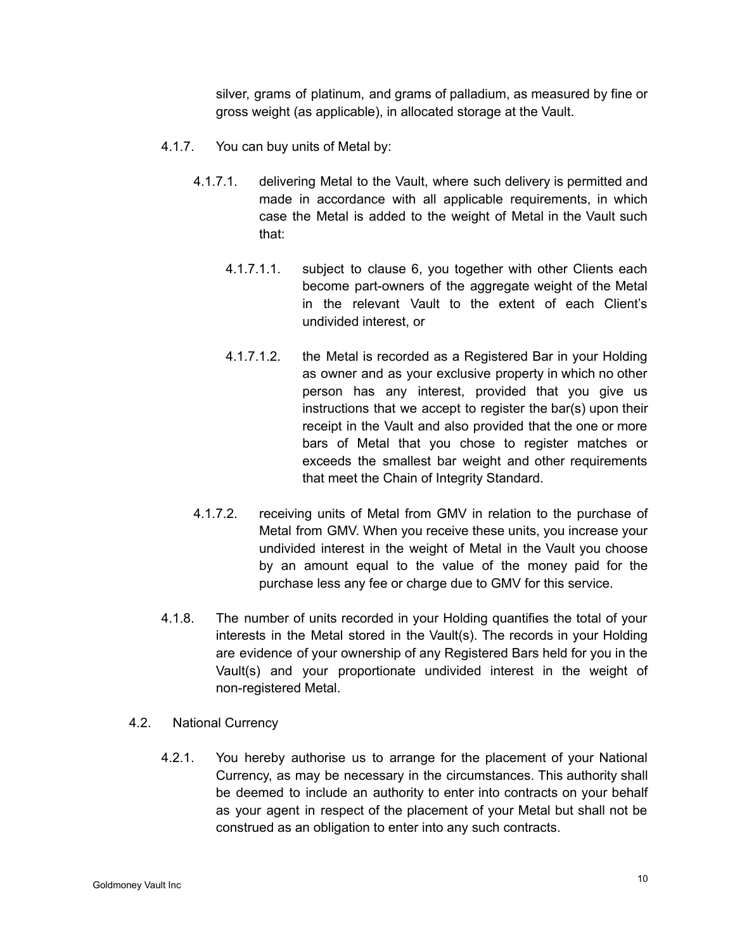silver, grams of platinum, and grams of palladium, as measured by fine or gross weight (as applicable), in allocated storage at the Vault.

- 4.1.7. You can buy units of Metal by:
	- 4.1.7.1. delivering Metal to the Vault, where such delivery is permitted and made in accordance with all applicable requirements, in which case the Metal is added to the weight of Metal in the Vault such that:
		- 4.1.7.1.1. subject to clause 6, you together with other Clients each become part-owners of the aggregate weight of the Metal in the relevant Vault to the extent of each Client's undivided interest, or
		- 4.1.7.1.2. the Metal is recorded as a Registered Bar in your Holding as owner and as your exclusive property in which no other person has any interest, provided that you give us instructions that we accept to register the bar(s) upon their receipt in the Vault and also provided that the one or more bars of Metal that you chose to register matches or exceeds the smallest bar weight and other requirements that meet the Chain of Integrity Standard.
	- 4.1.7.2. receiving units of Metal from GMV in relation to the purchase of Metal from GMV. When you receive these units, you increase your undivided interest in the weight of Metal in the Vault you choose by an amount equal to the value of the money paid for the purchase less any fee or charge due to GMV for this service.
- 4.1.8. The number of units recorded in your Holding quantifies the total of your interests in the Metal stored in the Vault(s). The records in your Holding are evidence of your ownership of any Registered Bars held for you in the Vault(s) and your proportionate undivided interest in the weight of non-registered Metal.
- 4.2. National Currency
	- 4.2.1. You hereby authorise us to arrange for the placement of your National Currency, as may be necessary in the circumstances. This authority shall be deemed to include an authority to enter into contracts on your behalf as your agent in respect of the placement of your Metal but shall not be construed as an obligation to enter into any such contracts.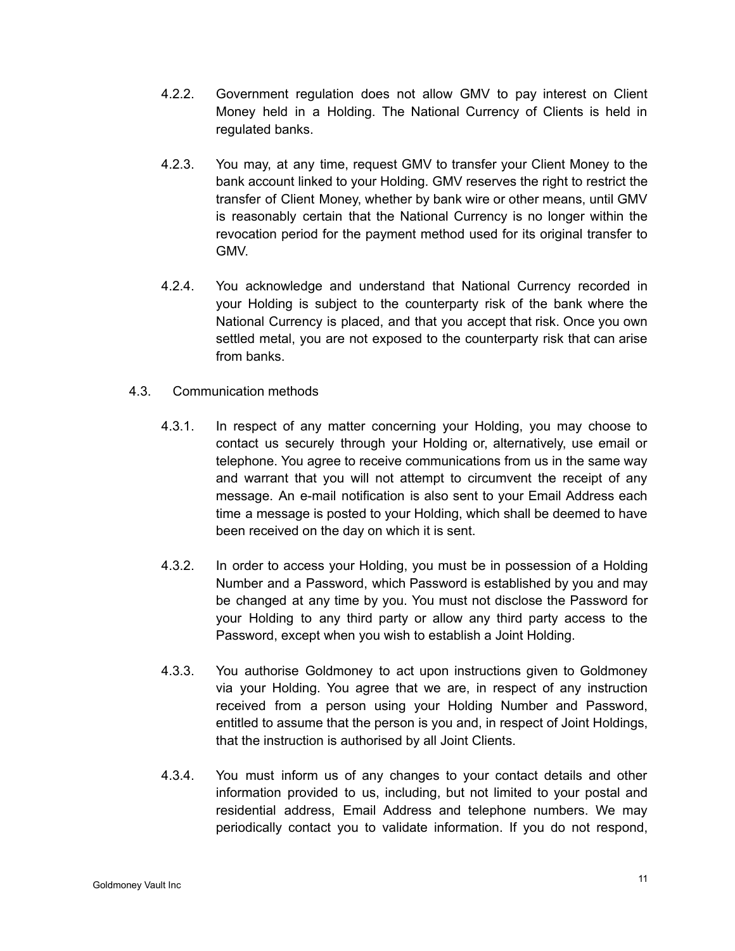- 4.2.2. Government regulation does not allow GMV to pay interest on Client Money held in a Holding. The National Currency of Clients is held in regulated banks.
- 4.2.3. You may, at any time, request GMV to transfer your Client Money to the bank account linked to your Holding. GMV reserves the right to restrict the transfer of Client Money, whether by bank wire or other means, until GMV is reasonably certain that the National Currency is no longer within the revocation period for the payment method used for its original transfer to GMV.
- 4.2.4. You acknowledge and understand that National Currency recorded in your Holding is subject to the counterparty risk of the bank where the National Currency is placed, and that you accept that risk. Once you own settled metal, you are not exposed to the counterparty risk that can arise from banks.
- 4.3. Communication methods
	- 4.3.1. In respect of any matter concerning your Holding, you may choose to contact us securely through your Holding or, alternatively, use email or telephone. You agree to receive communications from us in the same way and warrant that you will not attempt to circumvent the receipt of any message. An e-mail notification is also sent to your Email Address each time a message is posted to your Holding, which shall be deemed to have been received on the day on which it is sent.
	- 4.3.2. In order to access your Holding, you must be in possession of a Holding Number and a Password, which Password is established by you and may be changed at any time by you. You must not disclose the Password for your Holding to any third party or allow any third party access to the Password, except when you wish to establish a Joint Holding.
	- 4.3.3. You authorise Goldmoney to act upon instructions given to Goldmoney via your Holding. You agree that we are, in respect of any instruction received from a person using your Holding Number and Password, entitled to assume that the person is you and, in respect of Joint Holdings, that the instruction is authorised by all Joint Clients.
	- 4.3.4. You must inform us of any changes to your contact details and other information provided to us, including, but not limited to your postal and residential address, Email Address and telephone numbers. We may periodically contact you to validate information. If you do not respond,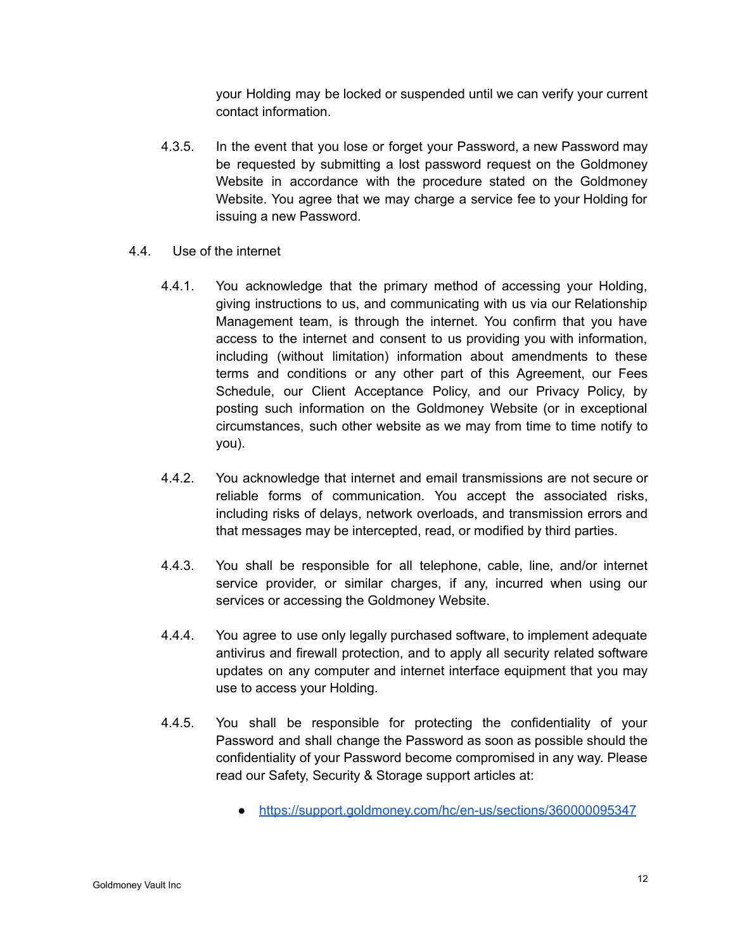your Holding may be locked or suspended until we can verify your current contact information.

- 4.3.5. In the event that you lose or forget your Password, a new Password may be requested by submitting a lost password request on the Goldmoney Website in accordance with the procedure stated on the Goldmoney Website. You agree that we may charge a service fee to your Holding for issuing a new Password.
- 4.4. Use of the internet
	- 4.4.1. You acknowledge that the primary method of accessing your Holding, giving instructions to us, and communicating with us via our Relationship Management team, is through the internet. You confirm that you have access to the internet and consent to us providing you with information, including (without limitation) information about amendments to these terms and conditions or any other part of this Agreement, our Fees Schedule, our Client Acceptance Policy, and our Privacy Policy, by posting such information on the Goldmoney Website (or in exceptional circumstances, such other website as we may from time to time notify to you).
	- 4.4.2. You acknowledge that internet and email transmissions are not secure or reliable forms of communication. You accept the associated risks, including risks of delays, network overloads, and transmission errors and that messages may be intercepted, read, or modified by third parties.
	- 4.4.3. You shall be responsible for all telephone, cable, line, and/or internet service provider, or similar charges, if any, incurred when using our services or accessing the Goldmoney Website.
	- 4.4.4. You agree to use only legally purchased software, to implement adequate antivirus and firewall protection, and to apply all security related software updates on any computer and internet interface equipment that you may use to access your Holding.
	- 4.4.5. You shall be responsible for protecting the confidentiality of your Password and shall change the Password as soon as possible should the confidentiality of your Password become compromised in any way. Please read our Safety, Security & Storage support articles at:
		- <https://support.goldmoney.com/hc/en-us/sections/360000095347>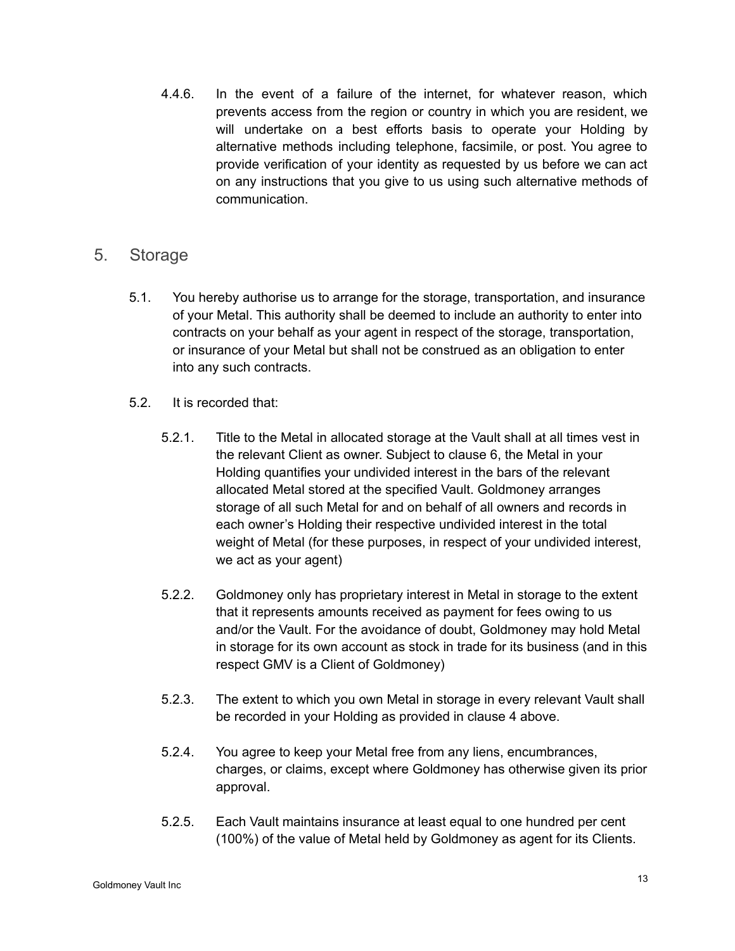4.4.6. In the event of a failure of the internet, for whatever reason, which prevents access from the region or country in which you are resident, we will undertake on a best efforts basis to operate your Holding by alternative methods including telephone, facsimile, or post. You agree to provide verification of your identity as requested by us before we can act on any instructions that you give to us using such alternative methods of communication.

# 5. Storage

- 5.1. You hereby authorise us to arrange for the storage, transportation, and insurance of your Metal. This authority shall be deemed to include an authority to enter into contracts on your behalf as your agent in respect of the storage, transportation, or insurance of your Metal but shall not be construed as an obligation to enter into any such contracts.
- 5.2. It is recorded that:
	- 5.2.1. Title to the Metal in allocated storage at the Vault shall at all times vest in the relevant Client as owner. Subject to clause 6, the Metal in your Holding quantifies your undivided interest in the bars of the relevant allocated Metal stored at the specified Vault. Goldmoney arranges storage of all such Metal for and on behalf of all owners and records in each owner's Holding their respective undivided interest in the total weight of Metal (for these purposes, in respect of your undivided interest, we act as your agent)
	- 5.2.2. Goldmoney only has proprietary interest in Metal in storage to the extent that it represents amounts received as payment for fees owing to us and/or the Vault. For the avoidance of doubt, Goldmoney may hold Metal in storage for its own account as stock in trade for its business (and in this respect GMV is a Client of Goldmoney)
	- 5.2.3. The extent to which you own Metal in storage in every relevant Vault shall be recorded in your Holding as provided in clause 4 above.
	- 5.2.4. You agree to keep your Metal free from any liens, encumbrances, charges, or claims, except where Goldmoney has otherwise given its prior approval.
	- 5.2.5. Each Vault maintains insurance at least equal to one hundred per cent (100%) of the value of Metal held by Goldmoney as agent for its Clients.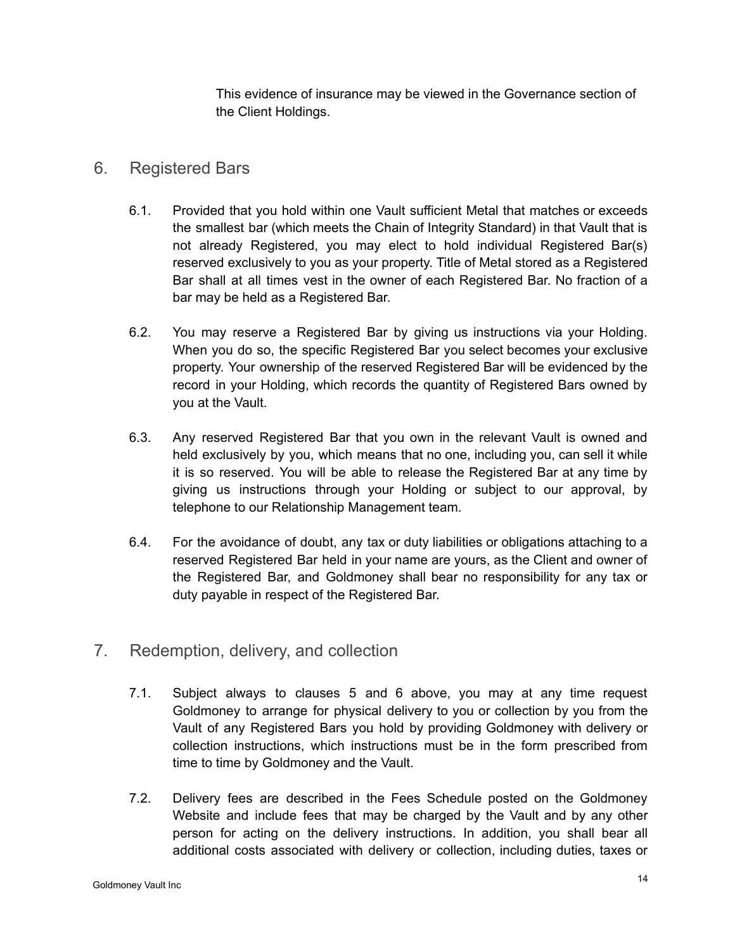This evidence of insurance may be viewed in the Governance section of the Client Holdings.

# 6. Registered Bars

- 6.1. Provided that you hold within one Vault sufficient Metal that matches or exceeds the smallest bar (which meets the Chain of Integrity Standard) in that Vault that is not already Registered, you may elect to hold individual Registered Bar(s) reserved exclusively to you as your property. Title of Metal stored as a Registered Bar shall at all times vest in the owner of each Registered Bar. No fraction of a bar may be held as a Registered Bar.
- 6.2. You may reserve a Registered Bar by giving us instructions via your Holding. When you do so, the specific Registered Bar you select becomes your exclusive property. Your ownership of the reserved Registered Bar will be evidenced by the record in your Holding, which records the quantity of Registered Bars owned by you at the Vault.
- 6.3. Any reserved Registered Bar that you own in the relevant Vault is owned and held exclusively by you, which means that no one, including you, can sell it while it is so reserved. You will be able to release the Registered Bar at any time by giving us instructions through your Holding or subject to our approval, by telephone to our Relationship Management team.
- 6.4. For the avoidance of doubt, any tax or duty liabilities or obligations attaching to a reserved Registered Bar held in your name are yours, as the Client and owner of the Registered Bar, and Goldmoney shall bear no responsibility for any tax or duty payable in respect of the Registered Bar.
- 7. Redemption, delivery, and collection
	- 7.1. Subject always to clauses 5 and 6 above, you may at any time request Goldmoney to arrange for physical delivery to you or collection by you from the Vault of any Registered Bars you hold by providing Goldmoney with delivery or collection instructions, which instructions must be in the form prescribed from time to time by Goldmoney and the Vault.
	- 7.2. Delivery fees are described in the Fees Schedule posted on the Goldmoney Website and include fees that may be charged by the Vault and by any other person for acting on the delivery instructions. In addition, you shall bear all additional costs associated with delivery or collection, including duties, taxes or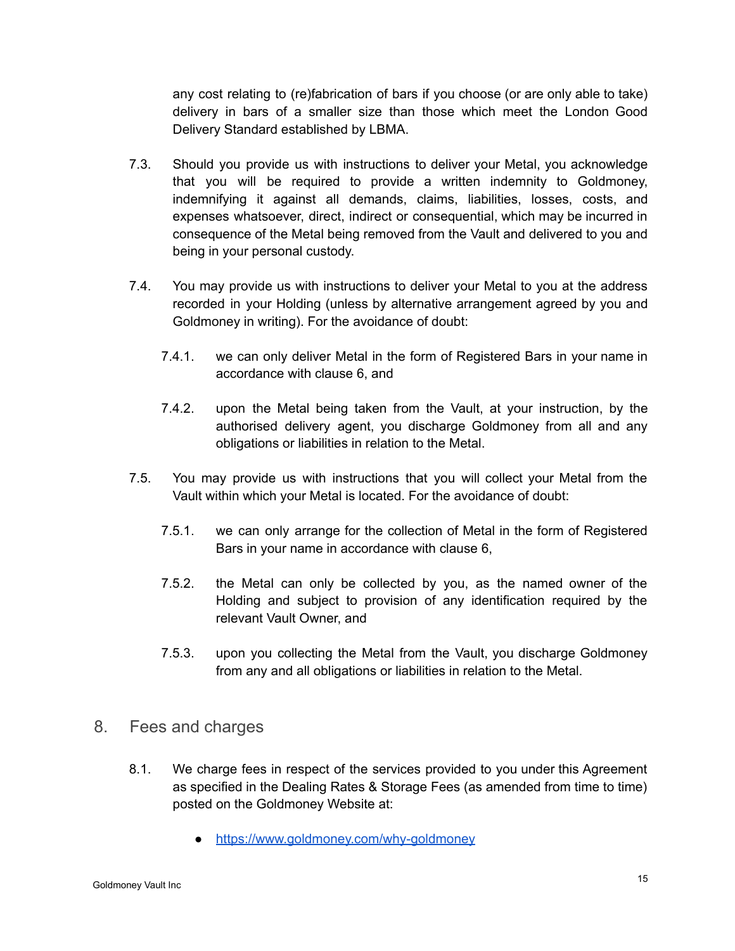any cost relating to (re)fabrication of bars if you choose (or are only able to take) delivery in bars of a smaller size than those which meet the London Good Delivery Standard established by LBMA.

- 7.3. Should you provide us with instructions to deliver your Metal, you acknowledge that you will be required to provide a written indemnity to Goldmoney, indemnifying it against all demands, claims, liabilities, losses, costs, and expenses whatsoever, direct, indirect or consequential, which may be incurred in consequence of the Metal being removed from the Vault and delivered to you and being in your personal custody.
- 7.4. You may provide us with instructions to deliver your Metal to you at the address recorded in your Holding (unless by alternative arrangement agreed by you and Goldmoney in writing). For the avoidance of doubt:
	- 7.4.1. we can only deliver Metal in the form of Registered Bars in your name in accordance with clause 6, and
	- 7.4.2. upon the Metal being taken from the Vault, at your instruction, by the authorised delivery agent, you discharge Goldmoney from all and any obligations or liabilities in relation to the Metal.
- 7.5. You may provide us with instructions that you will collect your Metal from the Vault within which your Metal is located. For the avoidance of doubt:
	- 7.5.1. we can only arrange for the collection of Metal in the form of Registered Bars in your name in accordance with clause 6,
	- 7.5.2. the Metal can only be collected by you, as the named owner of the Holding and subject to provision of any identification required by the relevant Vault Owner, and
	- 7.5.3. upon you collecting the Metal from the Vault, you discharge Goldmoney from any and all obligations or liabilities in relation to the Metal.
- 8. Fees and charges
	- 8.1. We charge fees in respect of the services provided to you under this Agreement as specified in the Dealing Rates & Storage Fees (as amended from time to time) posted on the Goldmoney Website at:
		- <https://www.goldmoney.com/why-goldmoney>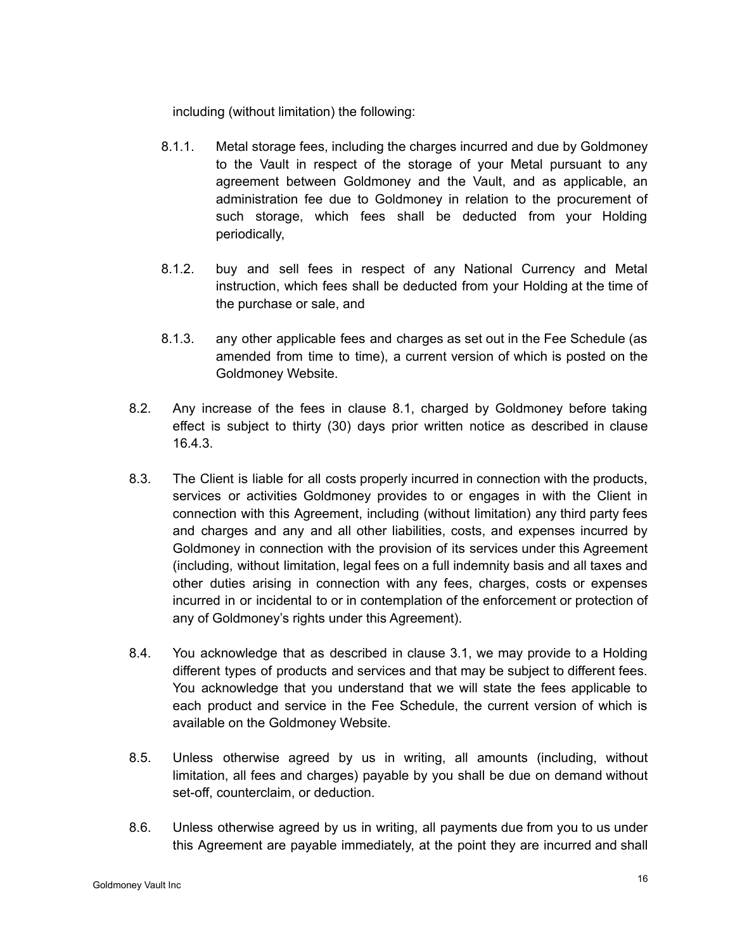including (without limitation) the following:

- 8.1.1. Metal storage fees, including the charges incurred and due by Goldmoney to the Vault in respect of the storage of your Metal pursuant to any agreement between Goldmoney and the Vault, and as applicable, an administration fee due to Goldmoney in relation to the procurement of such storage, which fees shall be deducted from your Holding periodically,
- 8.1.2. buy and sell fees in respect of any National Currency and Metal instruction, which fees shall be deducted from your Holding at the time of the purchase or sale, and
- 8.1.3. any other applicable fees and charges as set out in the Fee Schedule (as amended from time to time), a current version of which is posted on the Goldmoney Website.
- 8.2. Any increase of the fees in clause 8.1, charged by Goldmoney before taking effect is subject to thirty (30) days prior written notice as described in clause 16.4.3.
- 8.3. The Client is liable for all costs properly incurred in connection with the products, services or activities Goldmoney provides to or engages in with the Client in connection with this Agreement, including (without limitation) any third party fees and charges and any and all other liabilities, costs, and expenses incurred by Goldmoney in connection with the provision of its services under this Agreement (including, without limitation, legal fees on a full indemnity basis and all taxes and other duties arising in connection with any fees, charges, costs or expenses incurred in or incidental to or in contemplation of the enforcement or protection of any of Goldmoney's rights under this Agreement).
- 8.4. You acknowledge that as described in clause 3.1, we may provide to a Holding different types of products and services and that may be subject to different fees. You acknowledge that you understand that we will state the fees applicable to each product and service in the Fee Schedule, the current version of which is available on the Goldmoney Website.
- 8.5. Unless otherwise agreed by us in writing, all amounts (including, without limitation, all fees and charges) payable by you shall be due on demand without set-off, counterclaim, or deduction.
- 8.6. Unless otherwise agreed by us in writing, all payments due from you to us under this Agreement are payable immediately, at the point they are incurred and shall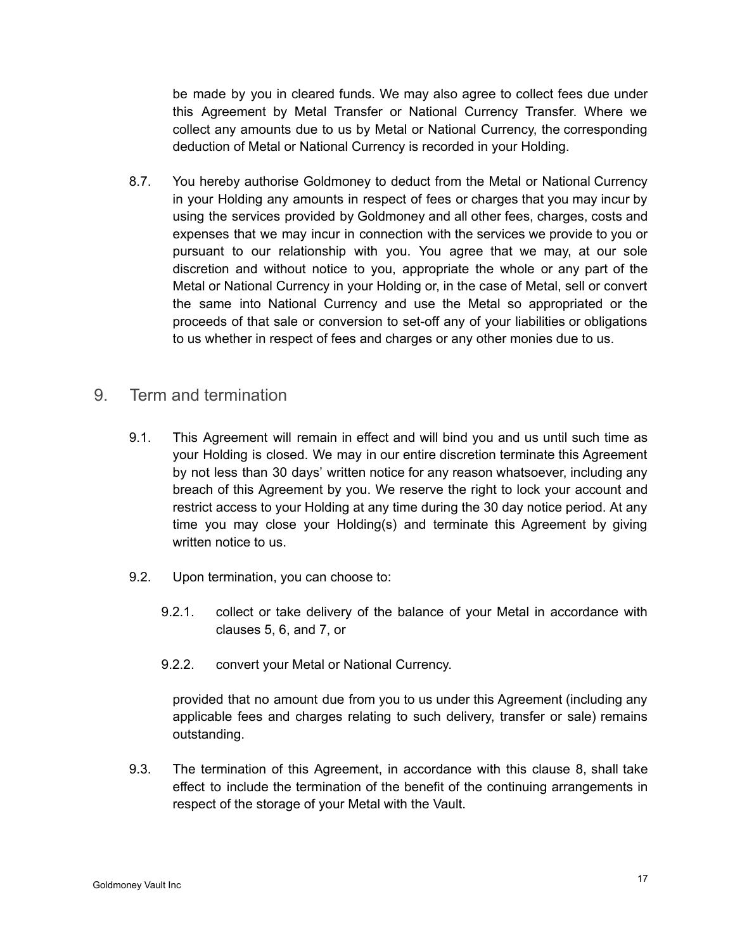be made by you in cleared funds. We may also agree to collect fees due under this Agreement by Metal Transfer or National Currency Transfer. Where we collect any amounts due to us by Metal or National Currency, the corresponding deduction of Metal or National Currency is recorded in your Holding.

- 8.7. You hereby authorise Goldmoney to deduct from the Metal or National Currency in your Holding any amounts in respect of fees or charges that you may incur by using the services provided by Goldmoney and all other fees, charges, costs and expenses that we may incur in connection with the services we provide to you or pursuant to our relationship with you. You agree that we may, at our sole discretion and without notice to you, appropriate the whole or any part of the Metal or National Currency in your Holding or, in the case of Metal, sell or convert the same into National Currency and use the Metal so appropriated or the proceeds of that sale or conversion to set-off any of your liabilities or obligations to us whether in respect of fees and charges or any other monies due to us.
- 9. Term and termination
	- 9.1. This Agreement will remain in effect and will bind you and us until such time as your Holding is closed. We may in our entire discretion terminate this Agreement by not less than 30 days' written notice for any reason whatsoever, including any breach of this Agreement by you. We reserve the right to lock your account and restrict access to your Holding at any time during the 30 day notice period. At any time you may close your Holding(s) and terminate this Agreement by giving written notice to us.
	- 9.2. Upon termination, you can choose to:
		- 9.2.1. collect or take delivery of the balance of your Metal in accordance with clauses 5, 6, and 7, or
		- 9.2.2. convert your Metal or National Currency.

provided that no amount due from you to us under this Agreement (including any applicable fees and charges relating to such delivery, transfer or sale) remains outstanding.

9.3. The termination of this Agreement, in accordance with this clause 8, shall take effect to include the termination of the benefit of the continuing arrangements in respect of the storage of your Metal with the Vault.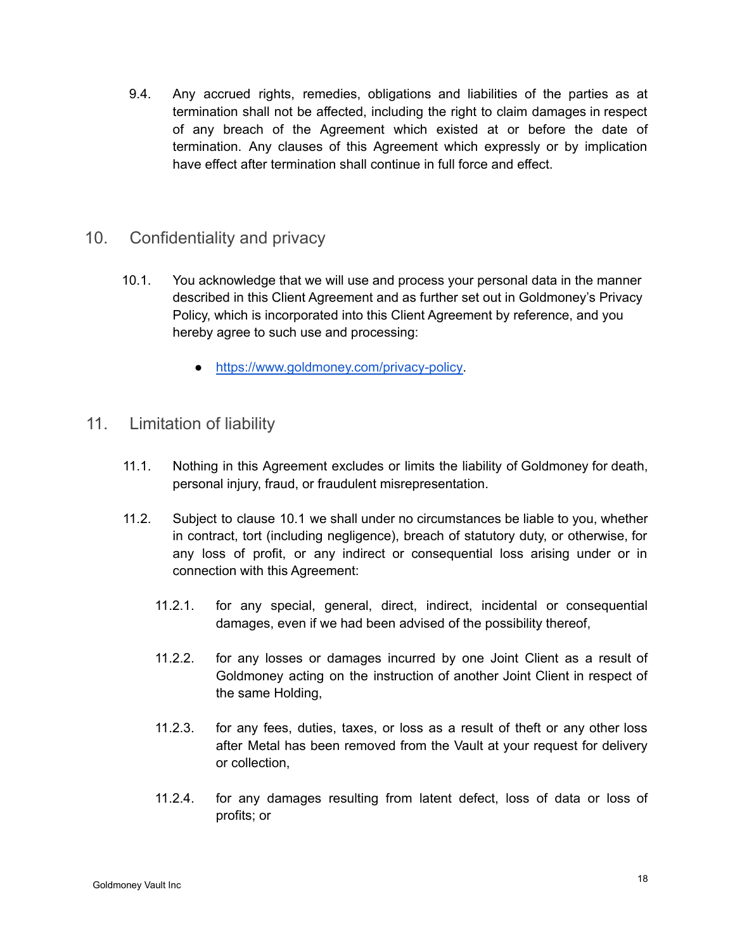9.4. Any accrued rights, remedies, obligations and liabilities of the parties as at termination shall not be affected, including the right to claim damages in respect of any breach of the Agreement which existed at or before the date of termination. Any clauses of this Agreement which expressly or by implication have effect after termination shall continue in full force and effect.

# 10. Confidentiality and privacy

- 10.1. You acknowledge that we will use and process your personal data in the manner described in this Client Agreement and as further set out in Goldmoney's Privacy Policy, which is incorporated into this Client Agreement by reference, and you hereby agree to such use and processing:
	- [https://www.goldmoney.com/privacy-policy.](https://www.goldmoney.com/privacy-policy)

# 11. Limitation of liability

- 11.1. Nothing in this Agreement excludes or limits the liability of Goldmoney for death, personal injury, fraud, or fraudulent misrepresentation.
- 11.2. Subject to clause 10.1 we shall under no circumstances be liable to you, whether in contract, tort (including negligence), breach of statutory duty, or otherwise, for any loss of profit, or any indirect or consequential loss arising under or in connection with this Agreement:
	- 11.2.1. for any special, general, direct, indirect, incidental or consequential damages, even if we had been advised of the possibility thereof,
	- 11.2.2. for any losses or damages incurred by one Joint Client as a result of Goldmoney acting on the instruction of another Joint Client in respect of the same Holding,
	- 11.2.3. for any fees, duties, taxes, or loss as a result of theft or any other loss after Metal has been removed from the Vault at your request for delivery or collection,
	- 11.2.4. for any damages resulting from latent defect, loss of data or loss of profits; or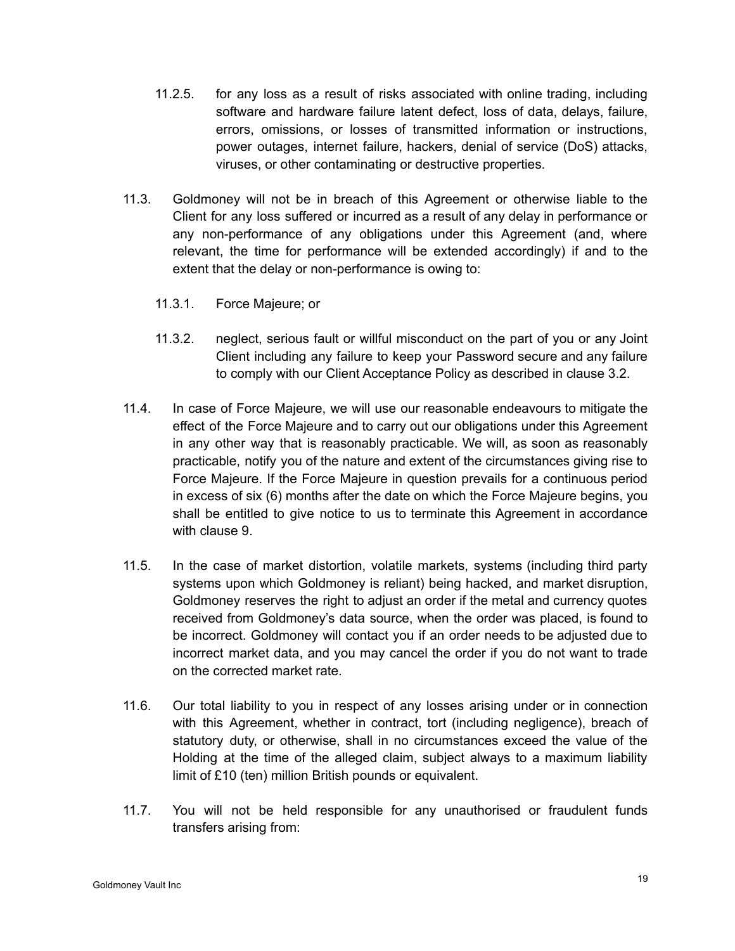- 11.2.5. for any loss as a result of risks associated with online trading, including software and hardware failure latent defect, loss of data, delays, failure, errors, omissions, or losses of transmitted information or instructions, power outages, internet failure, hackers, denial of service (DoS) attacks, viruses, or other contaminating or destructive properties.
- 11.3. Goldmoney will not be in breach of this Agreement or otherwise liable to the Client for any loss suffered or incurred as a result of any delay in performance or any non-performance of any obligations under this Agreement (and, where relevant, the time for performance will be extended accordingly) if and to the extent that the delay or non-performance is owing to:
	- 11.3.1. Force Majeure; or
	- 11.3.2. neglect, serious fault or willful misconduct on the part of you or any Joint Client including any failure to keep your Password secure and any failure to comply with our Client Acceptance Policy as described in clause 3.2.
- 11.4. In case of Force Majeure, we will use our reasonable endeavours to mitigate the effect of the Force Majeure and to carry out our obligations under this Agreement in any other way that is reasonably practicable. We will, as soon as reasonably practicable, notify you of the nature and extent of the circumstances giving rise to Force Majeure. If the Force Majeure in question prevails for a continuous period in excess of six (6) months after the date on which the Force Majeure begins, you shall be entitled to give notice to us to terminate this Agreement in accordance with clause 9.
- 11.5. In the case of market distortion, volatile markets, systems (including third party systems upon which Goldmoney is reliant) being hacked, and market disruption, Goldmoney reserves the right to adjust an order if the metal and currency quotes received from Goldmoney's data source, when the order was placed, is found to be incorrect. Goldmoney will contact you if an order needs to be adjusted due to incorrect market data, and you may cancel the order if you do not want to trade on the corrected market rate.
- 11.6. Our total liability to you in respect of any losses arising under or in connection with this Agreement, whether in contract, tort (including negligence), breach of statutory duty, or otherwise, shall in no circumstances exceed the value of the Holding at the time of the alleged claim, subject always to a maximum liability limit of £10 (ten) million British pounds or equivalent.
- 11.7. You will not be held responsible for any unauthorised or fraudulent funds transfers arising from: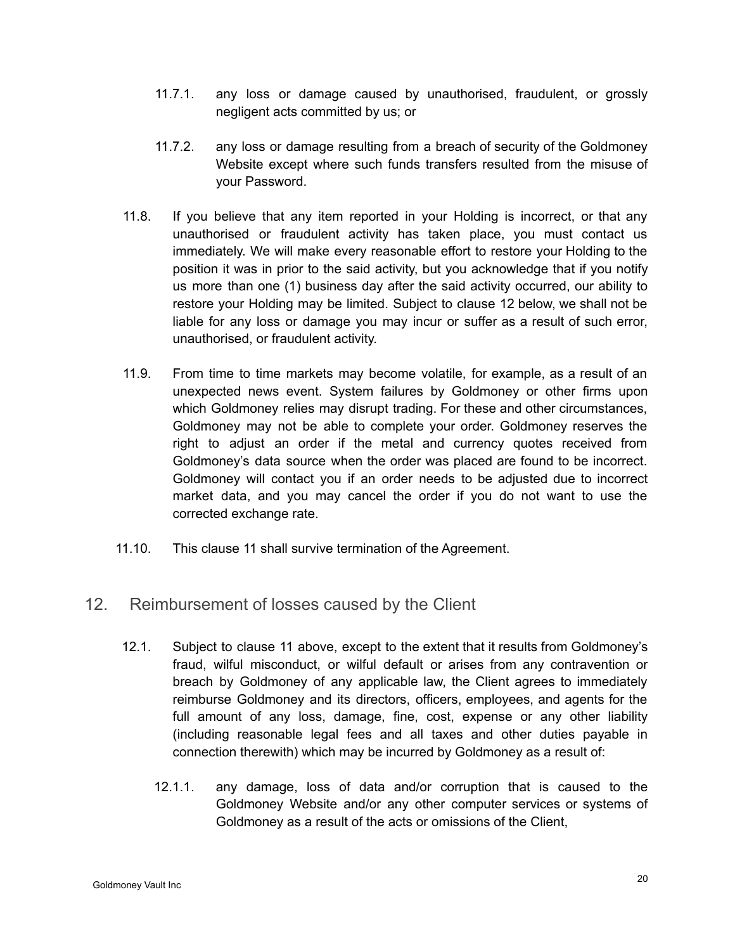- 11.7.1. any loss or damage caused by unauthorised, fraudulent, or grossly negligent acts committed by us; or
- 11.7.2. any loss or damage resulting from a breach of security of the Goldmoney Website except where such funds transfers resulted from the misuse of your Password.
- 11.8. If you believe that any item reported in your Holding is incorrect, or that any unauthorised or fraudulent activity has taken place, you must contact us immediately. We will make every reasonable effort to restore your Holding to the position it was in prior to the said activity, but you acknowledge that if you notify us more than one (1) business day after the said activity occurred, our ability to restore your Holding may be limited. Subject to clause 12 below, we shall not be liable for any loss or damage you may incur or suffer as a result of such error, unauthorised, or fraudulent activity.
- 11.9. From time to time markets may become volatile, for example, as a result of an unexpected news event. System failures by Goldmoney or other firms upon which Goldmoney relies may disrupt trading. For these and other circumstances, Goldmoney may not be able to complete your order. Goldmoney reserves the right to adjust an order if the metal and currency quotes received from Goldmoney's data source when the order was placed are found to be incorrect. Goldmoney will contact you if an order needs to be adjusted due to incorrect market data, and you may cancel the order if you do not want to use the corrected exchange rate.
- 11.10. This clause 11 shall survive termination of the Agreement.

# 12. Reimbursement of losses caused by the Client

- 12.1. Subject to clause 11 above, except to the extent that it results from Goldmoney's fraud, wilful misconduct, or wilful default or arises from any contravention or breach by Goldmoney of any applicable law, the Client agrees to immediately reimburse Goldmoney and its directors, officers, employees, and agents for the full amount of any loss, damage, fine, cost, expense or any other liability (including reasonable legal fees and all taxes and other duties payable in connection therewith) which may be incurred by Goldmoney as a result of:
	- 12.1.1. any damage, loss of data and/or corruption that is caused to the Goldmoney Website and/or any other computer services or systems of Goldmoney as a result of the acts or omissions of the Client,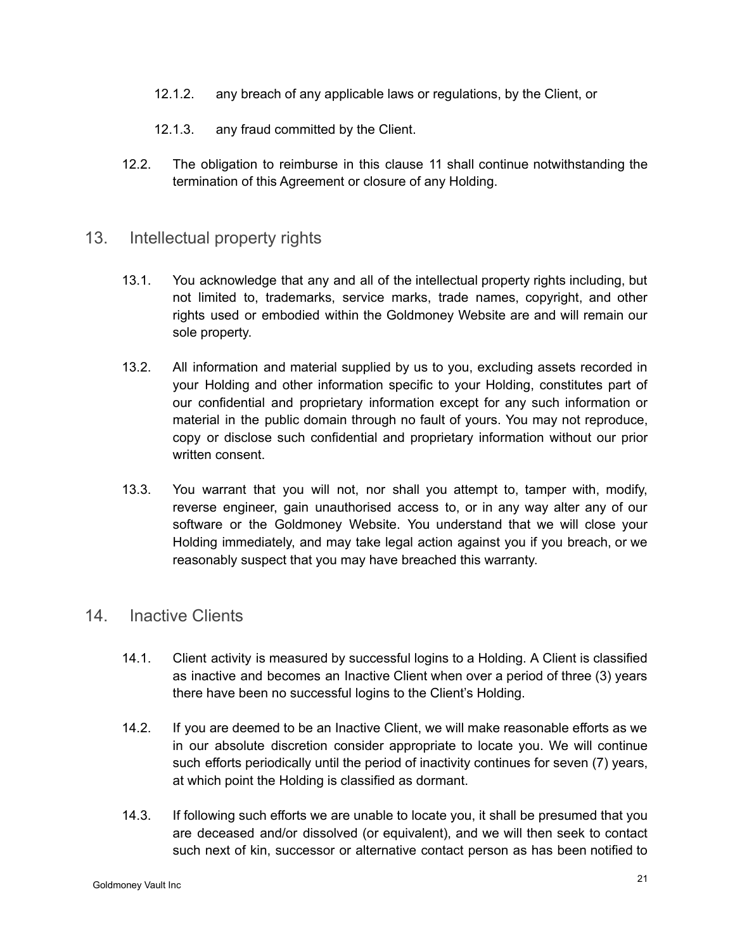- 12.1.2. any breach of any applicable laws or regulations, by the Client, or
- 12.1.3. any fraud committed by the Client.
- 12.2. The obligation to reimburse in this clause 11 shall continue notwithstanding the termination of this Agreement or closure of any Holding.

## 13. Intellectual property rights

- 13.1. You acknowledge that any and all of the intellectual property rights including, but not limited to, trademarks, service marks, trade names, copyright, and other rights used or embodied within the Goldmoney Website are and will remain our sole property.
- 13.2. All information and material supplied by us to you, excluding assets recorded in your Holding and other information specific to your Holding, constitutes part of our confidential and proprietary information except for any such information or material in the public domain through no fault of yours. You may not reproduce, copy or disclose such confidential and proprietary information without our prior written consent.
- 13.3. You warrant that you will not, nor shall you attempt to, tamper with, modify, reverse engineer, gain unauthorised access to, or in any way alter any of our software or the Goldmoney Website. You understand that we will close your Holding immediately, and may take legal action against you if you breach, or we reasonably suspect that you may have breached this warranty.

## 14. Inactive Clients

- 14.1. Client activity is measured by successful logins to a Holding. A Client is classified as inactive and becomes an Inactive Client when over a period of three (3) years there have been no successful logins to the Client's Holding.
- 14.2. If you are deemed to be an Inactive Client, we will make reasonable efforts as we in our absolute discretion consider appropriate to locate you. We will continue such efforts periodically until the period of inactivity continues for seven (7) years, at which point the Holding is classified as dormant.
- 14.3. If following such efforts we are unable to locate you, it shall be presumed that you are deceased and/or dissolved (or equivalent), and we will then seek to contact such next of kin, successor or alternative contact person as has been notified to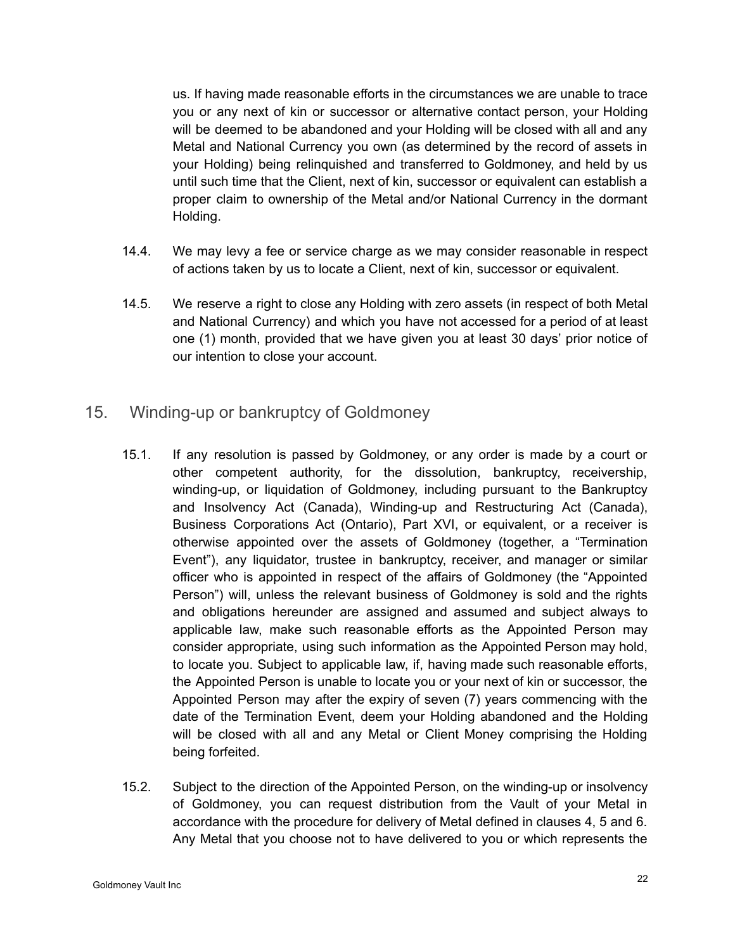us. If having made reasonable efforts in the circumstances we are unable to trace you or any next of kin or successor or alternative contact person, your Holding will be deemed to be abandoned and your Holding will be closed with all and any Metal and National Currency you own (as determined by the record of assets in your Holding) being relinquished and transferred to Goldmoney, and held by us until such time that the Client, next of kin, successor or equivalent can establish a proper claim to ownership of the Metal and/or National Currency in the dormant Holding.

- 14.4. We may levy a fee or service charge as we may consider reasonable in respect of actions taken by us to locate a Client, next of kin, successor or equivalent.
- 14.5. We reserve a right to close any Holding with zero assets (in respect of both Metal and National Currency) and which you have not accessed for a period of at least one (1) month, provided that we have given you at least 30 days' prior notice of our intention to close your account.
- 15. Winding-up or bankruptcy of Goldmoney
	- 15.1. If any resolution is passed by Goldmoney, or any order is made by a court or other competent authority, for the dissolution, bankruptcy, receivership, winding-up, or liquidation of Goldmoney, including pursuant to the Bankruptcy and Insolvency Act (Canada), Winding-up and Restructuring Act (Canada), Business Corporations Act (Ontario), Part XVI, or equivalent, or a receiver is otherwise appointed over the assets of Goldmoney (together, a "Termination Event"), any liquidator, trustee in bankruptcy, receiver, and manager or similar officer who is appointed in respect of the affairs of Goldmoney (the "Appointed Person") will, unless the relevant business of Goldmoney is sold and the rights and obligations hereunder are assigned and assumed and subject always to applicable law, make such reasonable efforts as the Appointed Person may consider appropriate, using such information as the Appointed Person may hold, to locate you. Subject to applicable law, if, having made such reasonable efforts, the Appointed Person is unable to locate you or your next of kin or successor, the Appointed Person may after the expiry of seven (7) years commencing with the date of the Termination Event, deem your Holding abandoned and the Holding will be closed with all and any Metal or Client Money comprising the Holding being forfeited.
	- 15.2. Subject to the direction of the Appointed Person, on the winding-up or insolvency of Goldmoney, you can request distribution from the Vault of your Metal in accordance with the procedure for delivery of Metal defined in clauses 4, 5 and 6. Any Metal that you choose not to have delivered to you or which represents the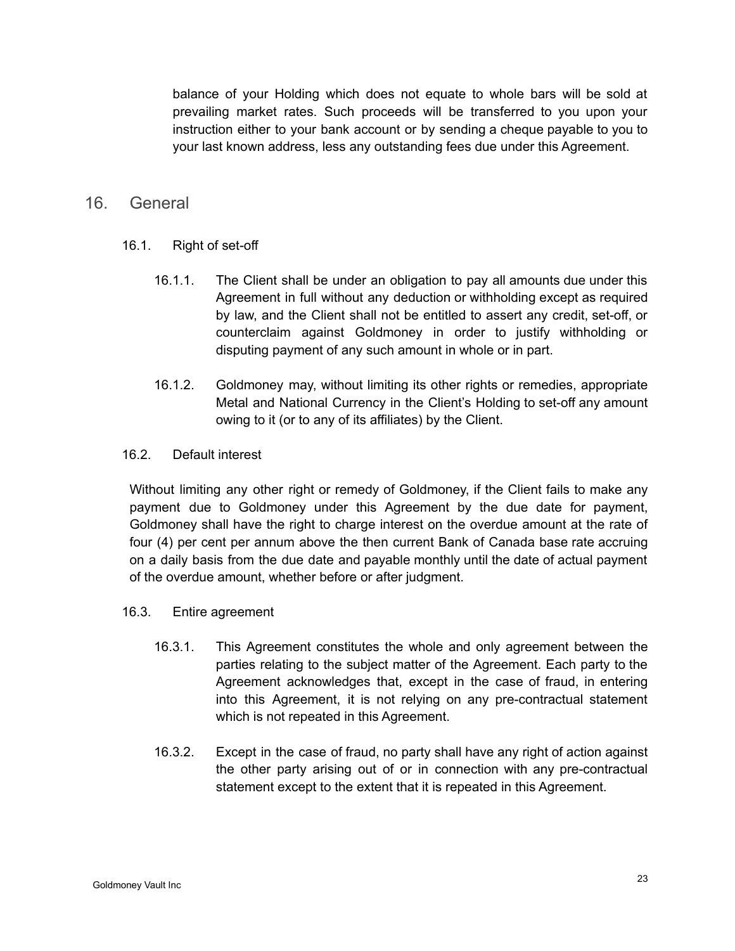balance of your Holding which does not equate to whole bars will be sold at prevailing market rates. Such proceeds will be transferred to you upon your instruction either to your bank account or by sending a cheque payable to you to your last known address, less any outstanding fees due under this Agreement.

## 16. General

- 16.1. Right of set-off
	- 16.1.1. The Client shall be under an obligation to pay all amounts due under this Agreement in full without any deduction or withholding except as required by law, and the Client shall not be entitled to assert any credit, set-off, or counterclaim against Goldmoney in order to justify withholding or disputing payment of any such amount in whole or in part.
	- 16.1.2. Goldmoney may, without limiting its other rights or remedies, appropriate Metal and National Currency in the Client's Holding to set-off any amount owing to it (or to any of its affiliates) by the Client.
- 16.2. Default interest

Without limiting any other right or remedy of Goldmoney, if the Client fails to make any payment due to Goldmoney under this Agreement by the due date for payment, Goldmoney shall have the right to charge interest on the overdue amount at the rate of four (4) per cent per annum above the then current Bank of Canada base rate accruing on a daily basis from the due date and payable monthly until the date of actual payment of the overdue amount, whether before or after judgment.

- 16.3. Entire agreement
	- 16.3.1. This Agreement constitutes the whole and only agreement between the parties relating to the subject matter of the Agreement. Each party to the Agreement acknowledges that, except in the case of fraud, in entering into this Agreement, it is not relying on any pre-contractual statement which is not repeated in this Agreement.
	- 16.3.2. Except in the case of fraud, no party shall have any right of action against the other party arising out of or in connection with any pre-contractual statement except to the extent that it is repeated in this Agreement.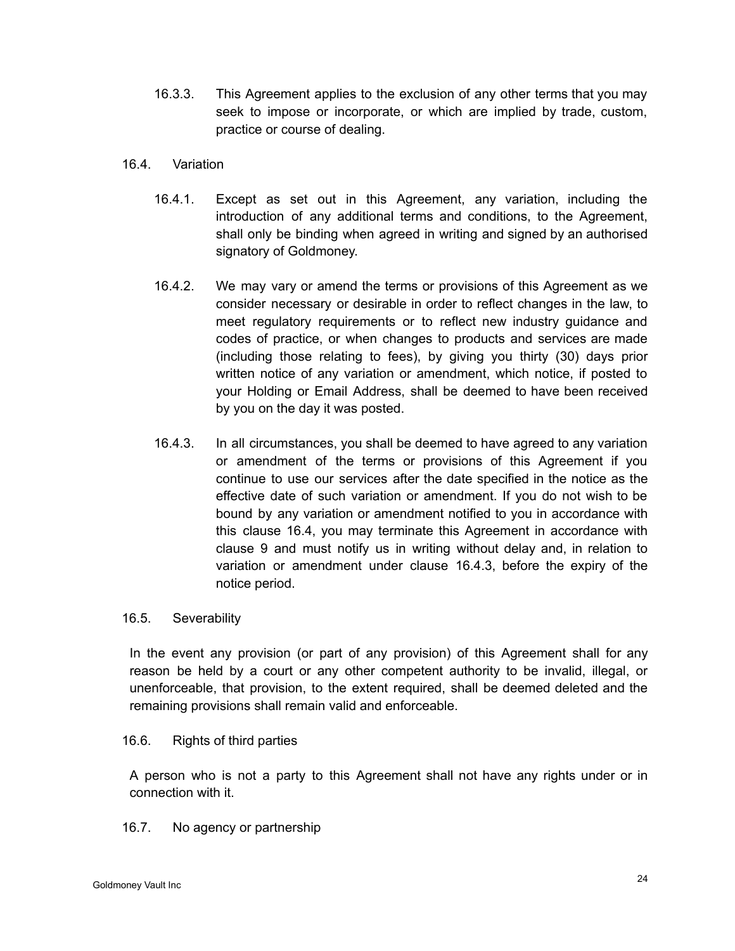- 16.3.3. This Agreement applies to the exclusion of any other terms that you may seek to impose or incorporate, or which are implied by trade, custom, practice or course of dealing.
- 16.4. Variation
	- 16.4.1. Except as set out in this Agreement, any variation, including the introduction of any additional terms and conditions, to the Agreement, shall only be binding when agreed in writing and signed by an authorised signatory of Goldmoney.
	- 16.4.2. We may vary or amend the terms or provisions of this Agreement as we consider necessary or desirable in order to reflect changes in the law, to meet regulatory requirements or to reflect new industry guidance and codes of practice, or when changes to products and services are made (including those relating to fees), by giving you thirty (30) days prior written notice of any variation or amendment, which notice, if posted to your Holding or Email Address, shall be deemed to have been received by you on the day it was posted.
	- 16.4.3. In all circumstances, you shall be deemed to have agreed to any variation or amendment of the terms or provisions of this Agreement if you continue to use our services after the date specified in the notice as the effective date of such variation or amendment. If you do not wish to be bound by any variation or amendment notified to you in accordance with this clause 16.4, you may terminate this Agreement in accordance with clause 9 and must notify us in writing without delay and, in relation to variation or amendment under clause 16.4.3, before the expiry of the notice period.

#### 16.5. Severability

In the event any provision (or part of any provision) of this Agreement shall for any reason be held by a court or any other competent authority to be invalid, illegal, or unenforceable, that provision, to the extent required, shall be deemed deleted and the remaining provisions shall remain valid and enforceable.

16.6. Rights of third parties

A person who is not a party to this Agreement shall not have any rights under or in connection with it.

16.7. No agency or partnership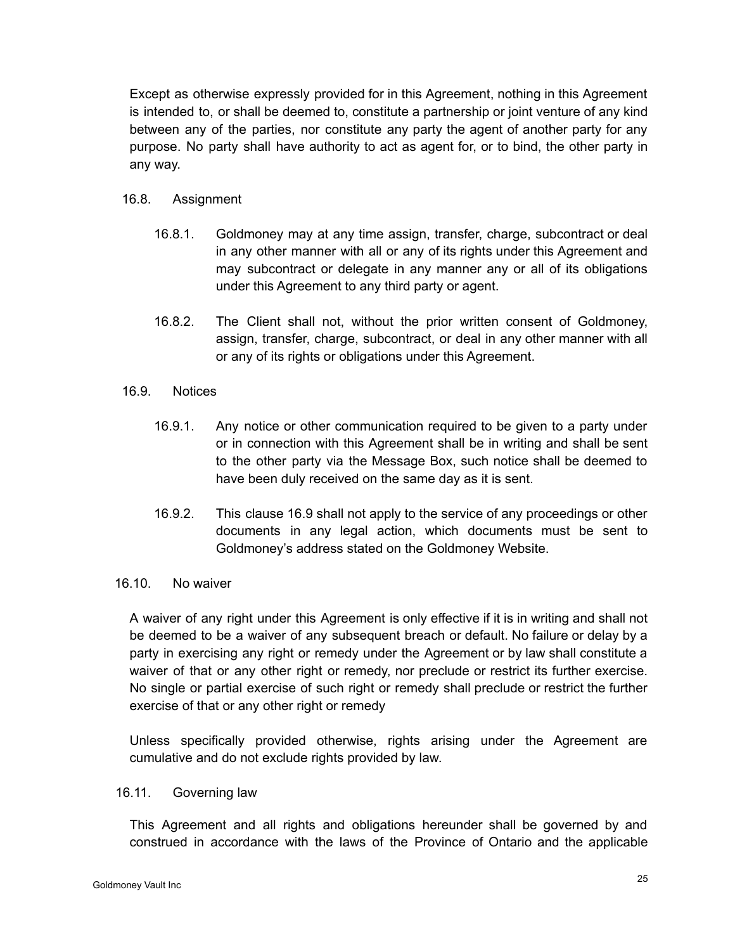Except as otherwise expressly provided for in this Agreement, nothing in this Agreement is intended to, or shall be deemed to, constitute a partnership or joint venture of any kind between any of the parties, nor constitute any party the agent of another party for any purpose. No party shall have authority to act as agent for, or to bind, the other party in any way.

#### 16.8. Assignment

- 16.8.1. Goldmoney may at any time assign, transfer, charge, subcontract or deal in any other manner with all or any of its rights under this Agreement and may subcontract or delegate in any manner any or all of its obligations under this Agreement to any third party or agent.
- 16.8.2. The Client shall not, without the prior written consent of Goldmoney, assign, transfer, charge, subcontract, or deal in any other manner with all or any of its rights or obligations under this Agreement.

#### 16.9. Notices

- 16.9.1. Any notice or other communication required to be given to a party under or in connection with this Agreement shall be in writing and shall be sent to the other party via the Message Box, such notice shall be deemed to have been duly received on the same day as it is sent.
- 16.9.2. This clause 16.9 shall not apply to the service of any proceedings or other documents in any legal action, which documents must be sent to Goldmoney's address stated on the Goldmoney Website.

## 16.10. No waiver

A waiver of any right under this Agreement is only effective if it is in writing and shall not be deemed to be a waiver of any subsequent breach or default. No failure or delay by a party in exercising any right or remedy under the Agreement or by law shall constitute a waiver of that or any other right or remedy, nor preclude or restrict its further exercise. No single or partial exercise of such right or remedy shall preclude or restrict the further exercise of that or any other right or remedy

Unless specifically provided otherwise, rights arising under the Agreement are cumulative and do not exclude rights provided by law.

#### 16.11. Governing law

This Agreement and all rights and obligations hereunder shall be governed by and construed in accordance with the laws of the Province of Ontario and the applicable